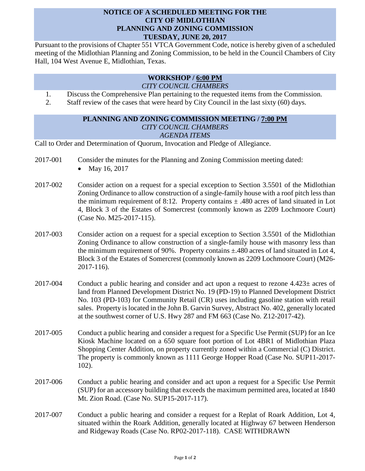## **NOTICE OF A SCHEDULED MEETING FOR THE CITY OF MIDLOTHIAN PLANNING AND ZONING COMMISSION TUESDAY, JUNE 20, 2017**

Pursuant to the provisions of Chapter 551 VTCA Government Code, notice is hereby given of a scheduled meeting of the Midlothian Planning and Zoning Commission, to be held in the Council Chambers of City Hall, 104 West Avenue E, Midlothian, Texas.

## **WORKSHOP / 6:00 PM** *CITY COUNCIL CHAMBERS*

- 1. Discuss the Comprehensive Plan pertaining to the requested items from the Commission.
- 2. Staff review of the cases that were heard by City Council in the last sixty (60) days.

## **PLANNING AND ZONING COMMISSION MEETING / 7:00 PM** *CITY COUNCIL CHAMBERS AGENDA ITEMS*

Call to Order and Determination of Quorum, Invocation and Pledge of Allegiance.

- 2017-001 Consider the minutes for the Planning and Zoning Commission meeting dated:
	- May 16, 2017
- 2017-002 Consider action on a request for a special exception to Section 3.5501 of the Midlothian Zoning Ordinance to allow construction of a single-family house with a roof pitch less than the minimum requirement of 8:12. Property contains  $\pm$  .480 acres of land situated in Lot 4, Block 3 of the Estates of Somercrest (commonly known as 2209 Lochmoore Court) (Case No. M25-2017-115).
- 2017-003 Consider action on a request for a special exception to Section 3.5501 of the Midlothian Zoning Ordinance to allow construction of a single-family house with masonry less than the minimum requirement of 90%. Property contains  $\pm$  480 acres of land situated in Lot 4, Block 3 of the Estates of Somercrest (commonly known as 2209 Lochmoore Court) (M26- 2017-116).
- 2017-004 Conduct a public hearing and consider and act upon a request to rezone  $4.423\pm$  acres of land from Planned Development District No. 19 (PD-19) to Planned Development District No. 103 (PD-103) for Community Retail (CR) uses including gasoline station with retail sales. Property is located in the John B. Garvin Survey, Abstract No. 402, generally located at the southwest corner of U.S. Hwy 287 and FM 663 (Case No. Z12-2017-42).
- 2017-005 Conduct a public hearing and consider a request for a Specific Use Permit (SUP) for an Ice Kiosk Machine located on a 650 square foot portion of Lot 4BR1 of Midlothian Plaza Shopping Center Addition, on property currently zoned within a Commercial (C) District. The property is commonly known as 1111 George Hopper Road (Case No. SUP11-2017- 102).
- 2017-006 Conduct a public hearing and consider and act upon a request for a Specific Use Permit (SUP) for an accessory building that exceeds the maximum permitted area, located at 1840 Mt. Zion Road. (Case No. SUP15-2017-117).
- 2017-007 Conduct a public hearing and consider a request for a Replat of Roark Addition, Lot 4, situated within the Roark Addition, generally located at Highway 67 between Henderson and Ridgeway Roads (Case No. RP02-2017-118). CASE WITHDRAWN